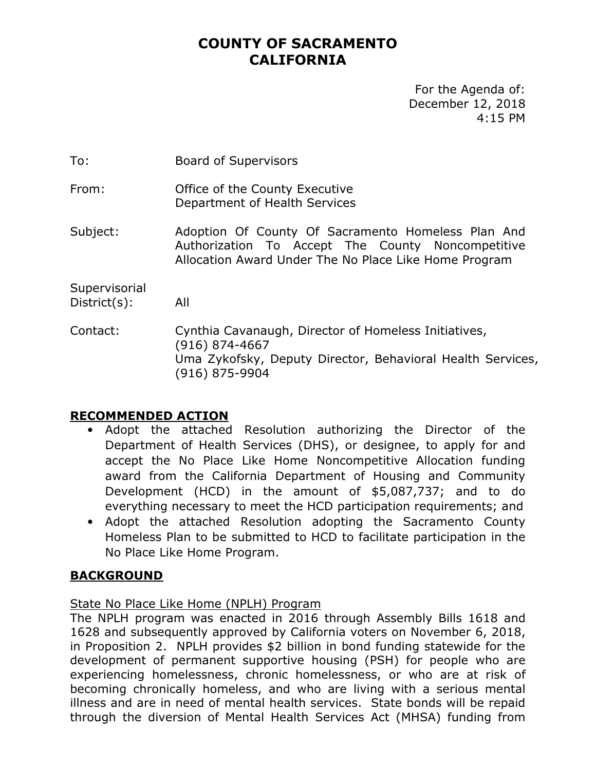# **COUNTY OF SACRAMENTO CALIFORNIA**

For the Agenda of: December 12, 2018 4:15 PM

To: Board of Supervisors

From: Office of the County Executive Department of Health Services

Subject: Adoption Of County Of Sacramento Homeless Plan And Authorization To Accept The County Noncompetitive Allocation Award Under The No Place Like Home Program

**Supervisorial** District(s): All

Contact: Cynthia Cavanaugh, Director of Homeless Initiatives, (916) 874-4667 Uma Zykofsky, Deputy Director, Behavioral Health Services, (916) 875-9904

## **RECOMMENDED ACTION**

- Adopt the attached Resolution authorizing the Director of the Department of Health Services (DHS), or designee, to apply for and accept the No Place Like Home Noncompetitive Allocation funding award from the California Department of Housing and Community Development (HCD) in the amount of \$5,087,737; and to do everything necessary to meet the HCD participation requirements; and
- Adopt the attached Resolution adopting the Sacramento County Homeless Plan to be submitted to HCD to facilitate participation in the No Place Like Home Program.

### **BACKGROUND**

### State No Place Like Home (NPLH) Program

The NPLH program was enacted in 2016 through Assembly Bills 1618 and 1628 and subsequently approved by California voters on November 6, 2018, in Proposition 2. NPLH provides \$2 billion in bond funding statewide for the development of permanent supportive housing (PSH) for people who are experiencing homelessness, chronic homelessness, or who are at risk of becoming chronically homeless, and who are living with a serious mental illness and are in need of mental health services. State bonds will be repaid through the diversion of Mental Health Services Act (MHSA) funding from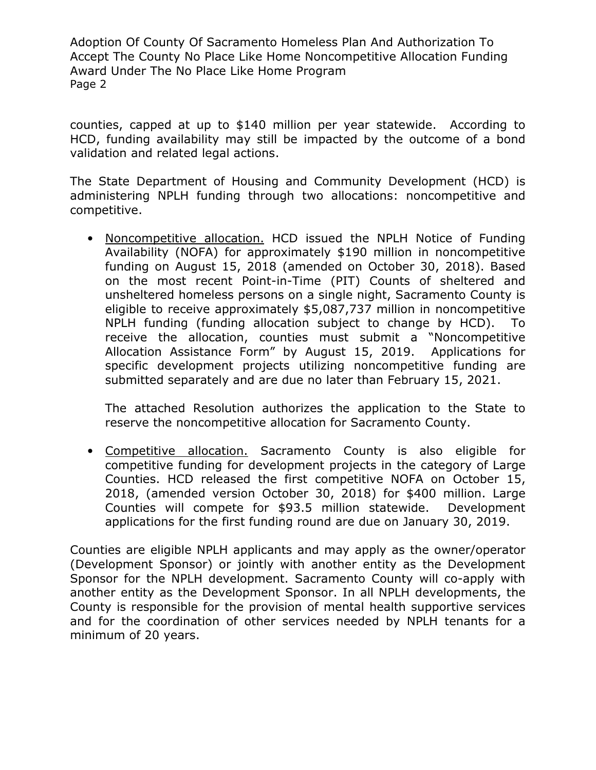counties, capped at up to \$140 million per year statewide. According to HCD, funding availability may still be impacted by the outcome of a bond validation and related legal actions.

The State Department of Housing and Community Development (HCD) is administering NPLH funding through two allocations: noncompetitive and competitive.

• Noncompetitive allocation. HCD issued the NPLH Notice of Funding Availability (NOFA) for approximately \$190 million in noncompetitive funding on August 15, 2018 (amended on October 30, 2018). Based on the most recent Point-in-Time (PIT) Counts of sheltered and unsheltered homeless persons on a single night, Sacramento County is eligible to receive approximately \$5,087,737 million in noncompetitive NPLH funding (funding allocation subject to change by HCD). To receive the allocation, counties must submit a "Noncompetitive Allocation Assistance Form" by August 15, 2019. Applications for specific development projects utilizing noncompetitive funding are submitted separately and are due no later than February 15, 2021.

The attached Resolution authorizes the application to the State to reserve the noncompetitive allocation for Sacramento County.

• Competitive allocation. Sacramento County is also eligible for competitive funding for development projects in the category of Large Counties. HCD released the first competitive NOFA on October 15, 2018, (amended version October 30, 2018) for \$400 million. Large Counties will compete for \$93.5 million statewide. Development applications for the first funding round are due on January 30, 2019.

Counties are eligible NPLH applicants and may apply as the owner/operator (Development Sponsor) or jointly with another entity as the Development Sponsor for the NPLH development. Sacramento County will co-apply with another entity as the Development Sponsor. In all NPLH developments, the County is responsible for the provision of mental health supportive services and for the coordination of other services needed by NPLH tenants for a minimum of 20 years.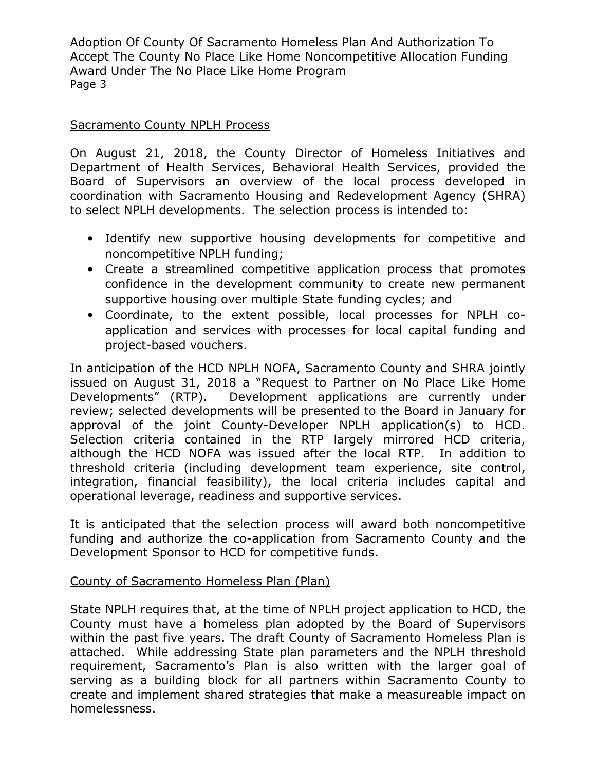## Sacramento County NPLH Process

On August 21, 2018, the County Director of Homeless Initiatives and Department of Health Services, Behavioral Health Services, provided the Board of Supervisors an overview of the local process developed in coordination with Sacramento Housing and Redevelopment Agency (SHRA) to select NPLH developments. The selection process is intended to:

- Identify new supportive housing developments for competitive and noncompetitive NPLH funding;
- Create a streamlined competitive application process that promotes confidence in the development community to create new permanent supportive housing over multiple State funding cycles; and
- Coordinate, to the extent possible, local processes for NPLH coapplication and services with processes for local capital funding and project-based vouchers.

In anticipation of the HCD NPLH NOFA, Sacramento County and SHRA jointly issued on August 31, 2018 a "Request to Partner on No Place Like Home Developments" (RTP). Development applications are currently under review; selected developments will be presented to the Board in January for approval of the joint County-Developer NPLH application(s) to HCD. Selection criteria contained in the RTP largely mirrored HCD criteria, although the HCD NOFA was issued after the local RTP. In addition to threshold criteria (including development team experience, site control, integration, financial feasibility), the local criteria includes capital and operational leverage, readiness and supportive services.

It is anticipated that the selection process will award both noncompetitive funding and authorize the co-application from Sacramento County and the Development Sponsor to HCD for competitive funds.

### County of Sacramento Homeless Plan (Plan)

State NPLH requires that, at the time of NPLH project application to HCD, the County must have a homeless plan adopted by the Board of Supervisors within the past five years. The draft County of Sacramento Homeless Plan is attached. While addressing State plan parameters and the NPLH threshold requirement, Sacramento's Plan is also written with the larger goal of serving as a building block for all partners within Sacramento County to create and implement shared strategies that make a measureable impact on homelessness.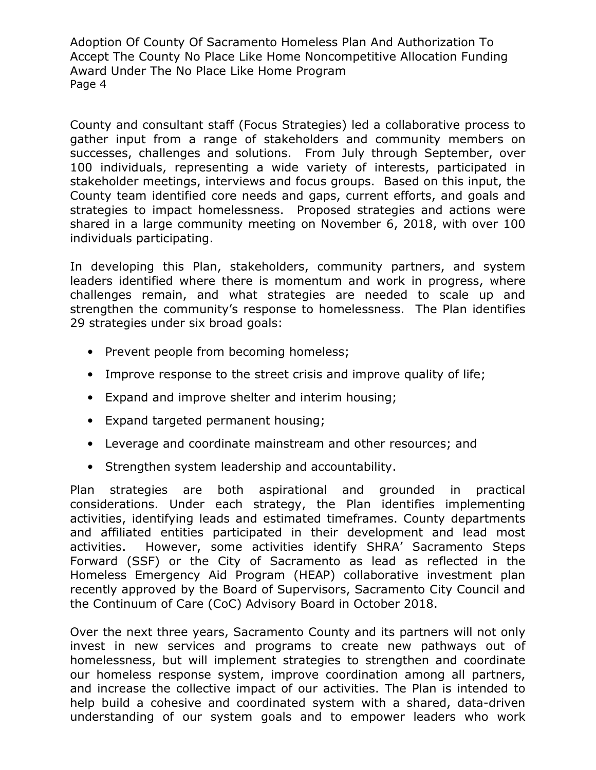County and consultant staff (Focus Strategies) led a collaborative process to gather input from a range of stakeholders and community members on successes, challenges and solutions. From July through September, over 100 individuals, representing a wide variety of interests, participated in stakeholder meetings, interviews and focus groups. Based on this input, the County team identified core needs and gaps, current efforts, and goals and strategies to impact homelessness. Proposed strategies and actions were shared in a large community meeting on November 6, 2018, with over 100 individuals participating.

In developing this Plan, stakeholders, community partners, and system leaders identified where there is momentum and work in progress, where challenges remain, and what strategies are needed to scale up and strengthen the community's response to homelessness. The Plan identifies 29 strategies under six broad goals:

- Prevent people from becoming homeless;
- Improve response to the street crisis and improve quality of life;
- Expand and improve shelter and interim housing;
- Expand targeted permanent housing;
- Leverage and coordinate mainstream and other resources; and
- Strengthen system leadership and accountability.

Plan strategies are both aspirational and grounded in practical considerations. Under each strategy, the Plan identifies implementing activities, identifying leads and estimated timeframes. County departments and affiliated entities participated in their development and lead most activities. However, some activities identify SHRA' Sacramento Steps Forward (SSF) or the City of Sacramento as lead as reflected in the Homeless Emergency Aid Program (HEAP) collaborative investment plan recently approved by the Board of Supervisors, Sacramento City Council and the Continuum of Care (CoC) Advisory Board in October 2018.

Over the next three years, Sacramento County and its partners will not only invest in new services and programs to create new pathways out of homelessness, but will implement strategies to strengthen and coordinate our homeless response system, improve coordination among all partners, and increase the collective impact of our activities. The Plan is intended to help build a cohesive and coordinated system with a shared, data-driven understanding of our system goals and to empower leaders who work